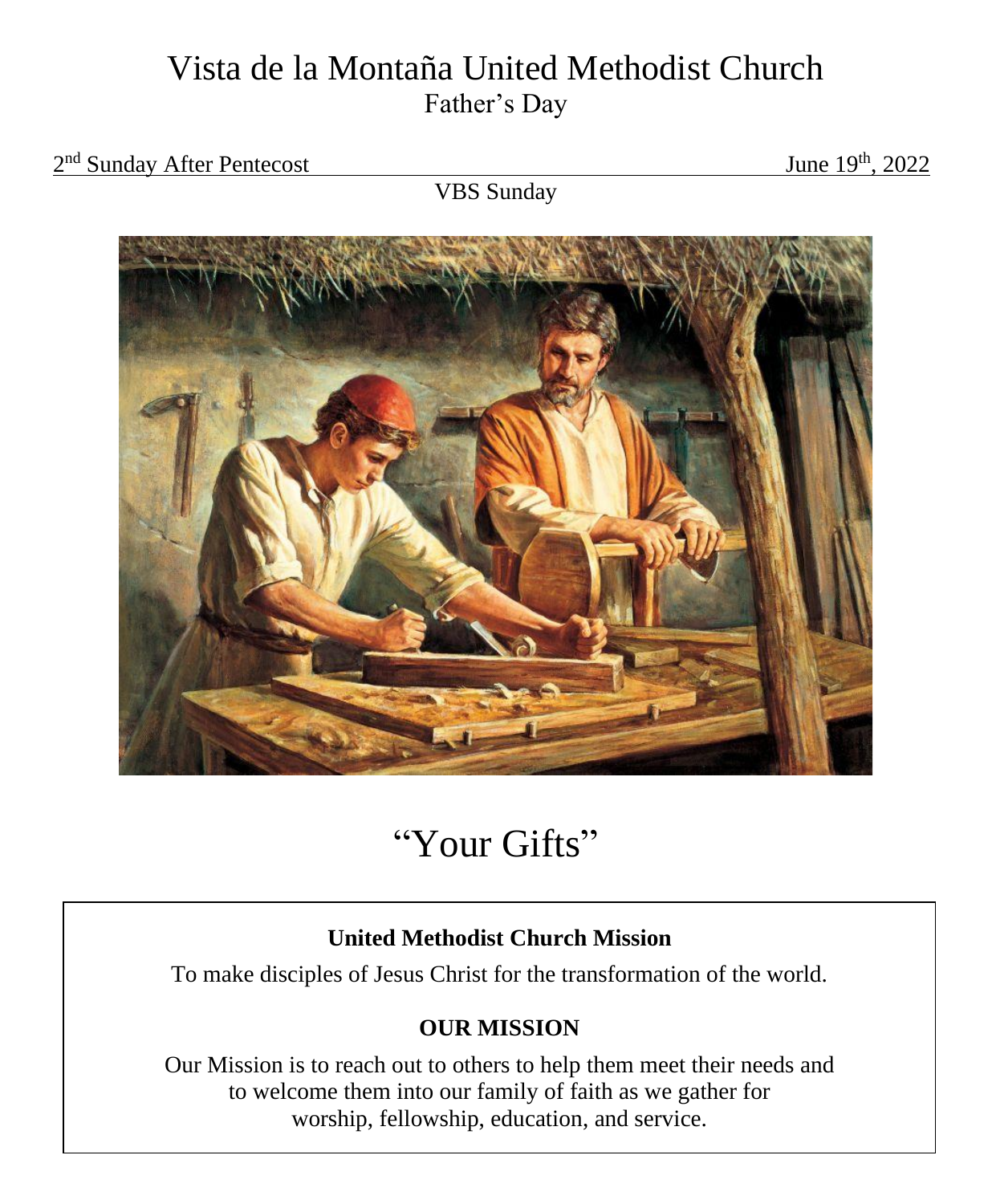# Vista de la Montaña United Methodist Church Father's Day

#### 2<sup>nd</sup> Sunday After Pentecost June 19

June  $19^{th}$ , 2022

VBS Sunday



# "Your Gifts"

## **United Methodist Church Mission**

To make disciples of Jesus Christ for the transformation of the world.

## **OUR MISSION**

Our Mission is to reach out to others to help them meet their needs and to welcome them into our family of faith as we gather for worship, fellowship, education, and service.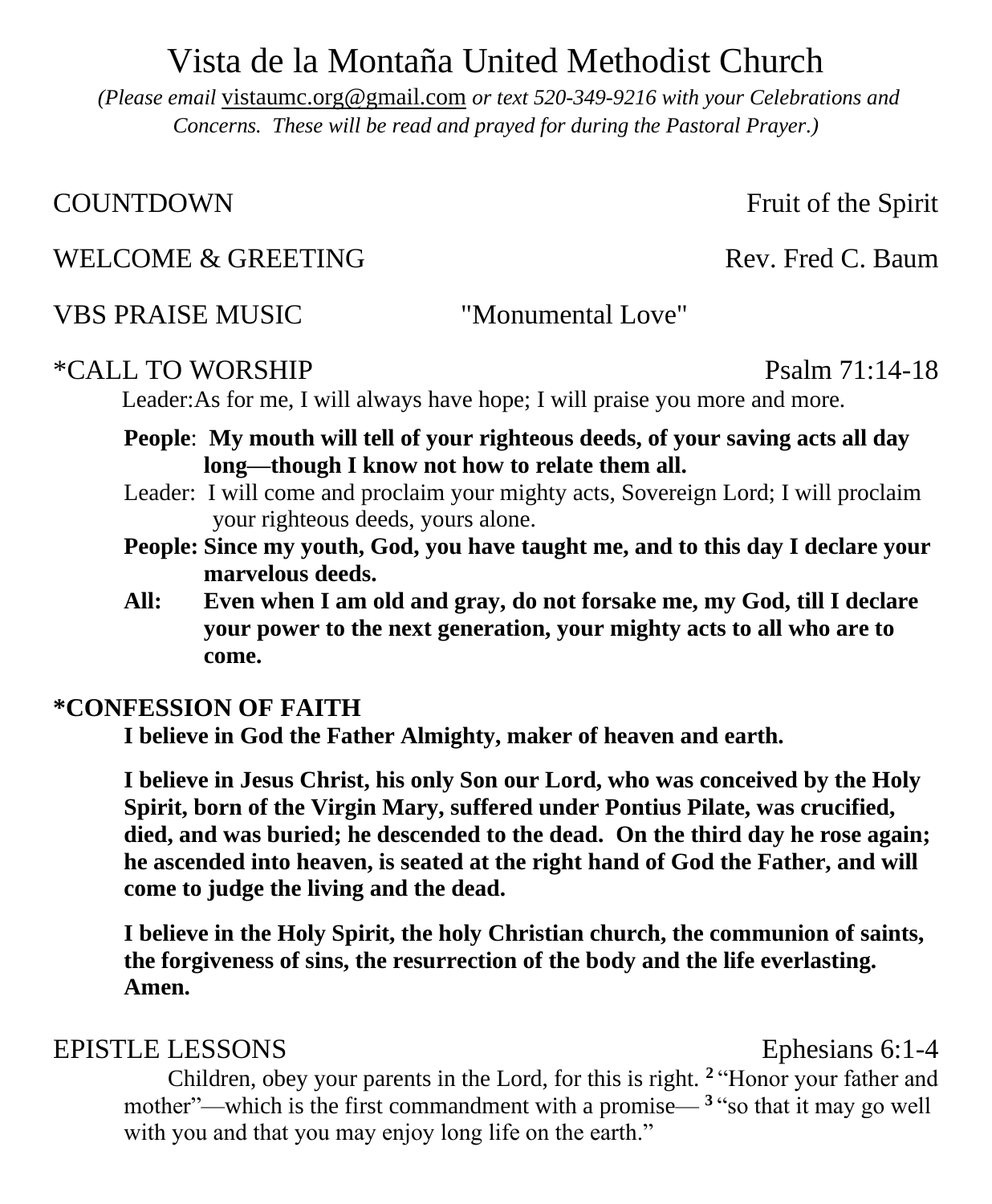# Vista de la Montaña United Methodist Church

*(Please email* [vistaumc.org@gmail.com](mailto:vistaumc.org@gmail.com) *or text 520-349-9216 with your Celebrations and Concerns. These will be read and prayed for during the Pastoral Prayer.)*

COUNTDOWN Fruit of the Spirit

## WELCOME & GREETING Rev. Fred C. Baum

VBS PRAISE MUSIC "Monumental Love"

#### \*CALL TO WORSHIP Psalm 71:14-18

Leader:As for me, I will always have hope; I will praise you more and more.

- **People**: **My mouth will tell of your righteous deeds, of your saving acts all day long—though I know not how to relate them all.**
- Leader: I will come and proclaim your mighty acts, Sovereign Lord; I will proclaim your righteous deeds, yours alone.
- **People: Since my youth, God, you have taught me, and to this day I declare your marvelous deeds.**
- **All: Even when I am old and gray, do not forsake me, my God, till I declare your power to the next generation, your mighty acts to all who are to come.**

## **\*CONFESSION OF FAITH**

**I believe in God the Father Almighty, maker of heaven and earth.** 

**I believe in Jesus Christ, his only Son our Lord, who was conceived by the Holy Spirit, born of the Virgin Mary, suffered under Pontius Pilate, was crucified, died, and was buried; he descended to the dead. On the third day he rose again; he ascended into heaven, is seated at the right hand of God the Father, and will come to judge the living and the dead.** 

**I believe in the Holy Spirit, the holy Christian church, the communion of saints, the forgiveness of sins, the resurrection of the body and the life everlasting. Amen.**

## EPISTLE LESSONS Ephesians 6:1-4

Children, obey your parents in the Lord, for this is right. **<sup>2</sup>** "Honor your father and mother"—which is the first commandment with a promise— **<sup>3</sup>** "so that it may go well with you and that you may enjoy long life on the earth."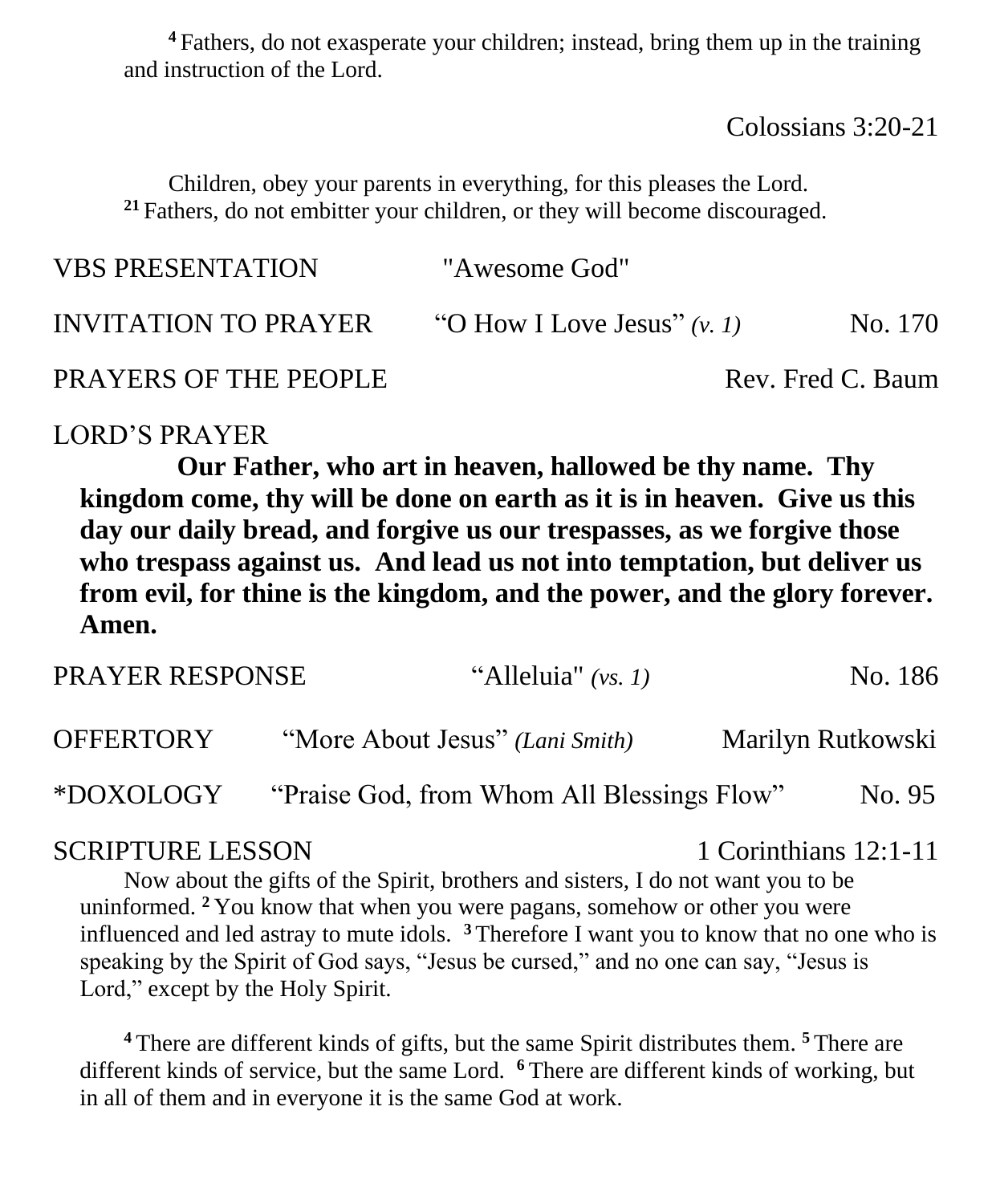**<sup>4</sup>** Fathers, do not exasperate your children; instead, bring them up in the training and instruction of the Lord.

Colossians 3:20-21

Children, obey your parents in everything, for this pleases the Lord. **<sup>21</sup>** Fathers, do not embitter your children, or they will become discouraged.

| <b>VBS PRESENTATION</b>      | "Awesome God"                 |                   |
|------------------------------|-------------------------------|-------------------|
| INVITATION TO PRAYER         | "O How I Love Jesus" $(v, 1)$ | No. 170           |
| <b>PRAYERS OF THE PEOPLE</b> |                               | Rev. Fred C. Baum |

#### LORD'S PRAYER

**Our Father, who art in heaven, hallowed be thy name. Thy kingdom come, thy will be done on earth as it is in heaven. Give us this day our daily bread, and forgive us our trespasses, as we forgive those who trespass against us. And lead us not into temptation, but deliver us from evil, for thine is the kingdom, and the power, and the glory forever. Amen.** 

| <b>PRAYER RESPONSE</b> | "Alleluia" $(vs. 1)$                       | No. 186           |
|------------------------|--------------------------------------------|-------------------|
| <b>OFFERTORY</b>       | "More About Jesus" (Lani Smith)            | Marilyn Rutkowski |
| *DOXOLOGY              | "Praise God, from Whom All Blessings Flow" | No. 95            |

#### SCRIPTURE LESSON 1 Corinthians 12:1-11

Now about the gifts of the Spirit, brothers and sisters, I do not want you to be uninformed. **<sup>2</sup>** You know that when you were pagans, somehow or other you were influenced and led astray to mute idols. **<sup>3</sup>** Therefore I want you to know that no one who is speaking by the Spirit of God says, "Jesus be cursed," and no one can say, "Jesus is Lord," except by the Holy Spirit.

**<sup>4</sup>** There are different kinds of gifts, but the same Spirit distributes them. **<sup>5</sup>** There are different kinds of service, but the same Lord. **<sup>6</sup>** There are different kinds of working, but in all of them and in everyone it is the same God at work.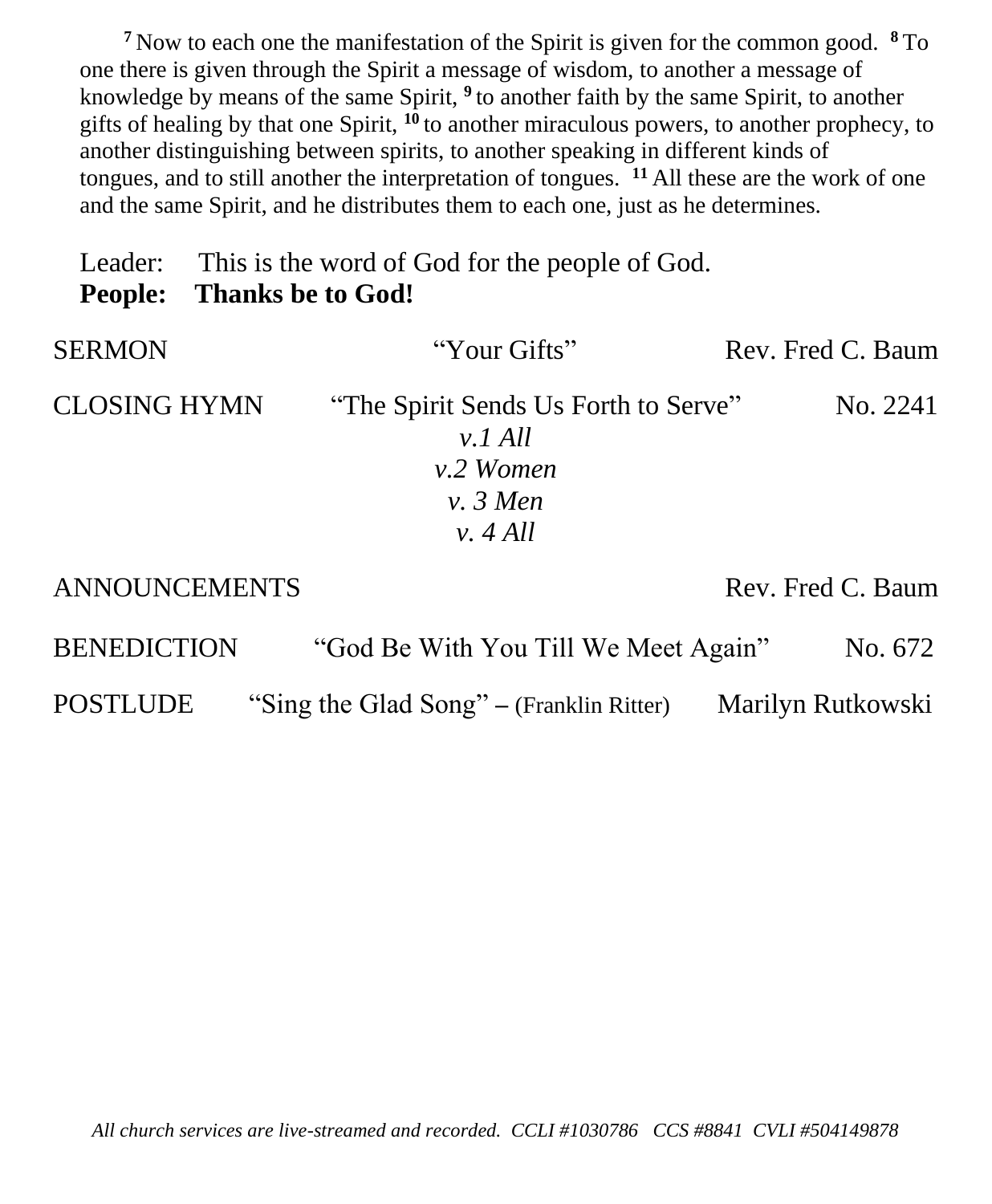**<sup>7</sup>** Now to each one the manifestation of the Spirit is given for the common good. **<sup>8</sup>** To one there is given through the Spirit a message of wisdom, to another a message of knowledge by means of the same Spirit, **<sup>9</sup>** to another faith by the same Spirit, to another gifts of healing by that one Spirit, **<sup>10</sup>** to another miraculous powers, to another prophecy, to another distinguishing between spirits, to another speaking in different kinds of tongues, and to still another the interpretation of tongues. **<sup>11</sup>** All these are the work of one and the same Spirit, and he distributes them to each one, just as he determines.

Leader: This is the word of God for the people of God. **People: Thanks be to God!**

| <b>SERMON</b>       | "Your Gifts"                                                                 | Rev. Fred C. Baum |
|---------------------|------------------------------------------------------------------------------|-------------------|
| <b>CLOSING HYMN</b> | "The Spirit Sends Us Forth to Serve"<br>$v.1$ All<br>v.2 Women<br>$v. 3$ Men | No. 2241          |
|                     | v. 4 All                                                                     |                   |

ANNOUNCEMENTS Rev. Fred C. Baum

| <b>BENEDICTION</b> | "God Be With You Till We Meet Again"     |                   | No. 672 |
|--------------------|------------------------------------------|-------------------|---------|
| <b>POSTLUDE</b>    | "Sing the Glad Song" – (Franklin Ritter) | Marilyn Rutkowski |         |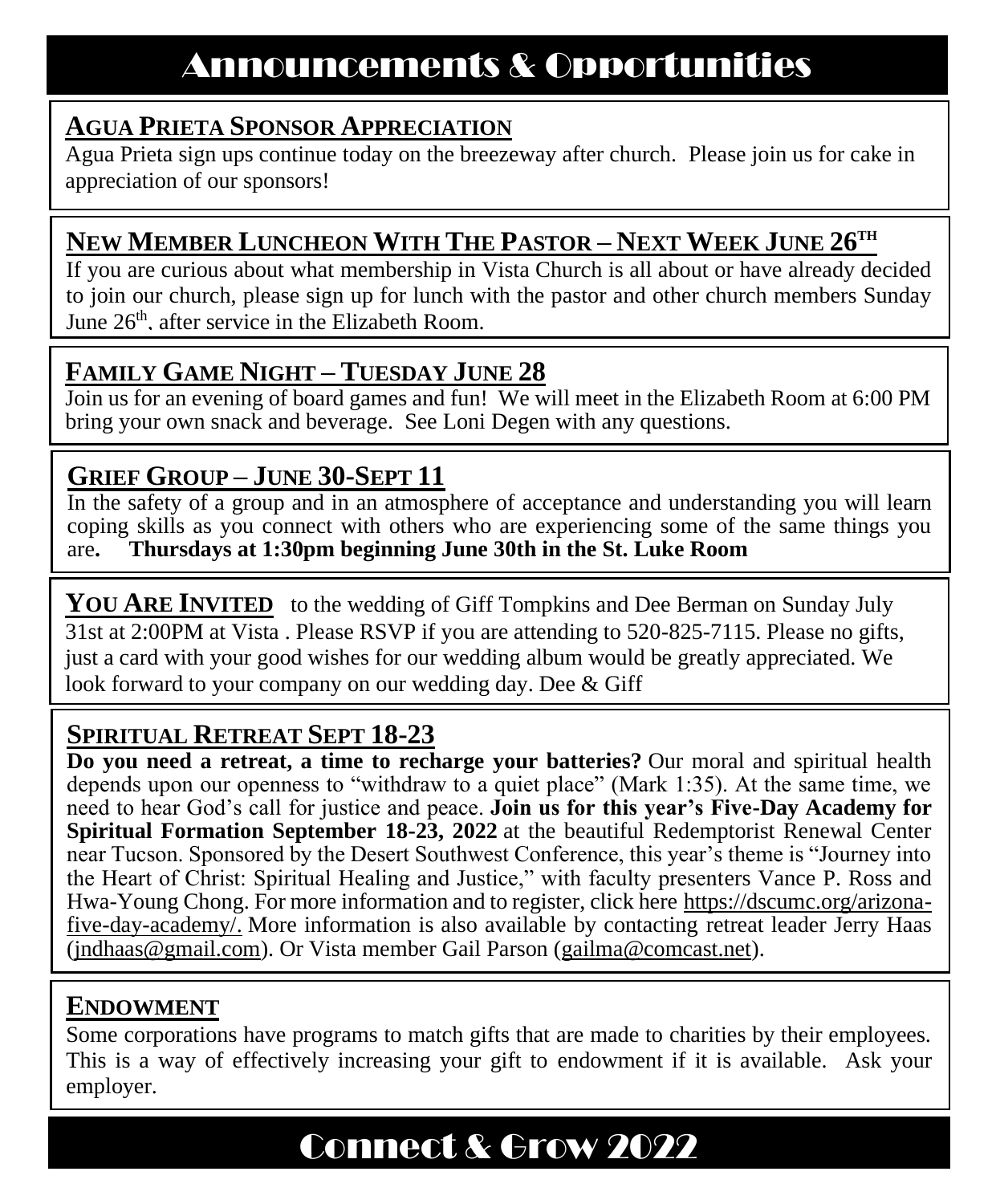## **AGUA PRIETA SPONSOR APPRECIATION**

Agua Prieta sign ups continue today on the breezeway after church. Please join us for cake in appreciation of our sponsors!

## **NEW MEMBER LUNCHEON WITH THE PASTOR – NEXT WEEK JUNE 26TH**

If you are curious about what membership in Vista Church is all about or have already decided to join our church, please sign up for lunch with the pastor and other church members Sunday June  $26<sup>th</sup>$ , after service in the Elizabeth Room.

## **FAMILY GAME NIGHT – TUESDAY JUNE 28**

Join us for an evening of board games and fun! We will meet in the Elizabeth Room at 6:00 PM bring your own snack and beverage. See Loni Degen with any questions.

# **GRIEF GROUP – JUNE 30-SEPT 11**

In the safety of a group and in an atmosphere of acceptance and understanding you will learn coping skills as you connect with others who are experiencing some of the same things you are**. Thursdays at 1:30pm beginning June 30th in the St. Luke Room** 

**YOU ARE INVITED** to the wedding of Giff Tompkins and Dee Berman on Sunday July 31st at 2:00PM at Vista . Please RSVP if you are attending to 520-825-7115. Please no gifts, just a card with your good wishes for our wedding album would be greatly appreciated. We look forward to your company on our wedding day. Dee & Giff

## **SPIRITUAL RETREAT SEPT 18-23**

**Do you need a retreat, a time to recharge your batteries?** Our moral and spiritual health depends upon our openness to "withdraw to a quiet place" (Mark 1:35). At the same time, we need to hear God's call for justice and peace. **Join us for this year's Five-Day Academy for Spiritual Formation September 18-23, 2022** at the beautiful Redemptorist Renewal Center near Tucson. Sponsored by the Desert Southwest Conference, this year's theme is "Journey into the Heart of Christ: Spiritual Healing and Justice," with faculty presenters Vance P. Ross and Hwa-Young Chong. For more information and to register, click here [https://dscumc.org/arizona](https://dscumc.org/arizona-five-day-academy/)[five-day-academy/.](https://dscumc.org/arizona-five-day-academy/) More information is also available by contacting retreat leader Jerry Haas [\(jndhaas@gmail.com\)](mailto:jndhaas@gmail.com). Or Vista member Gail Parson [\(gailma@comcast.net\)](mailto:gailma@comcast.net).

## **ENDOWMENT**

Some corporations have programs to match gifts that are made to charities by their employees. This is a way of effectively increasing your gift to endowment if it is available. Ask your employer.

# Connect & Grow 2022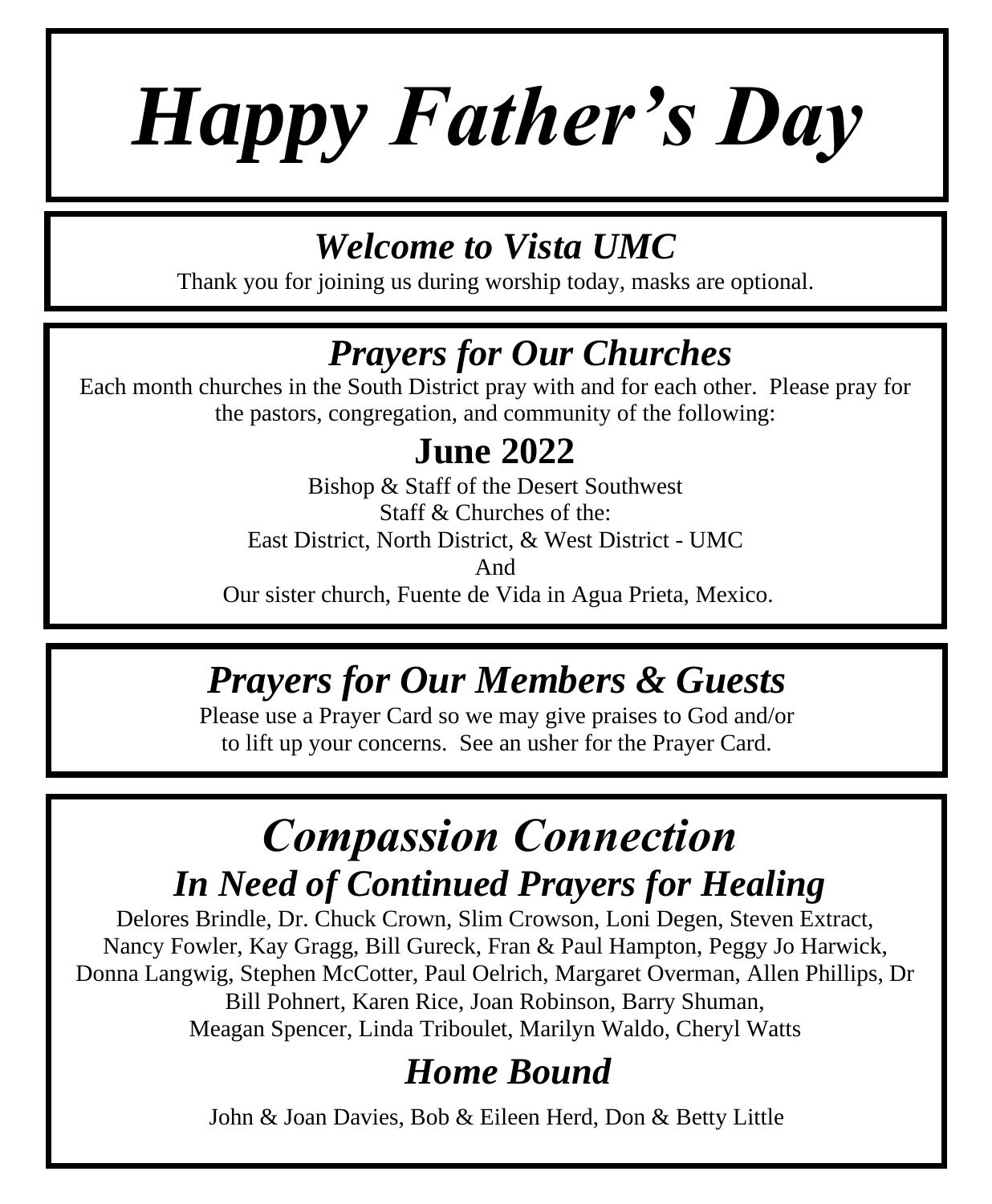# *Happy Father's Day*

# *Welcome to Vista UMC*

Thank you for joining us during worship today, masks are optional.

# *Prayers for Our Churches*

Each month churches in the South District pray with and for each other. Please pray for the pastors, congregation, and community of the following:

# **June 2022**

Bishop & Staff of the Desert Southwest Staff & Churches of the: East District, North District, & West District - UMC And Our sister church, Fuente de Vida in Agua Prieta, Mexico.

# *Prayers for Our Members & Guests*

Please use a Prayer Card so we may give praises to God and/or to lift up your concerns. See an usher for the Prayer Card.

# *Compassion Connection In Need of Continued Prayers for Healing*

Delores Brindle, Dr. Chuck Crown, Slim Crowson, Loni Degen, Steven Extract, Nancy Fowler, Kay Gragg, Bill Gureck, Fran & Paul Hampton, Peggy Jo Harwick, Donna Langwig, Stephen McCotter, Paul Oelrich, Margaret Overman, Allen Phillips, Dr Bill Pohnert, Karen Rice, Joan Robinson, Barry Shuman, Meagan Spencer, Linda Triboulet, Marilyn Waldo, Cheryl Watts

# *Home Bound*

John & Joan Davies, Bob & Eileen Herd, Don & Betty Little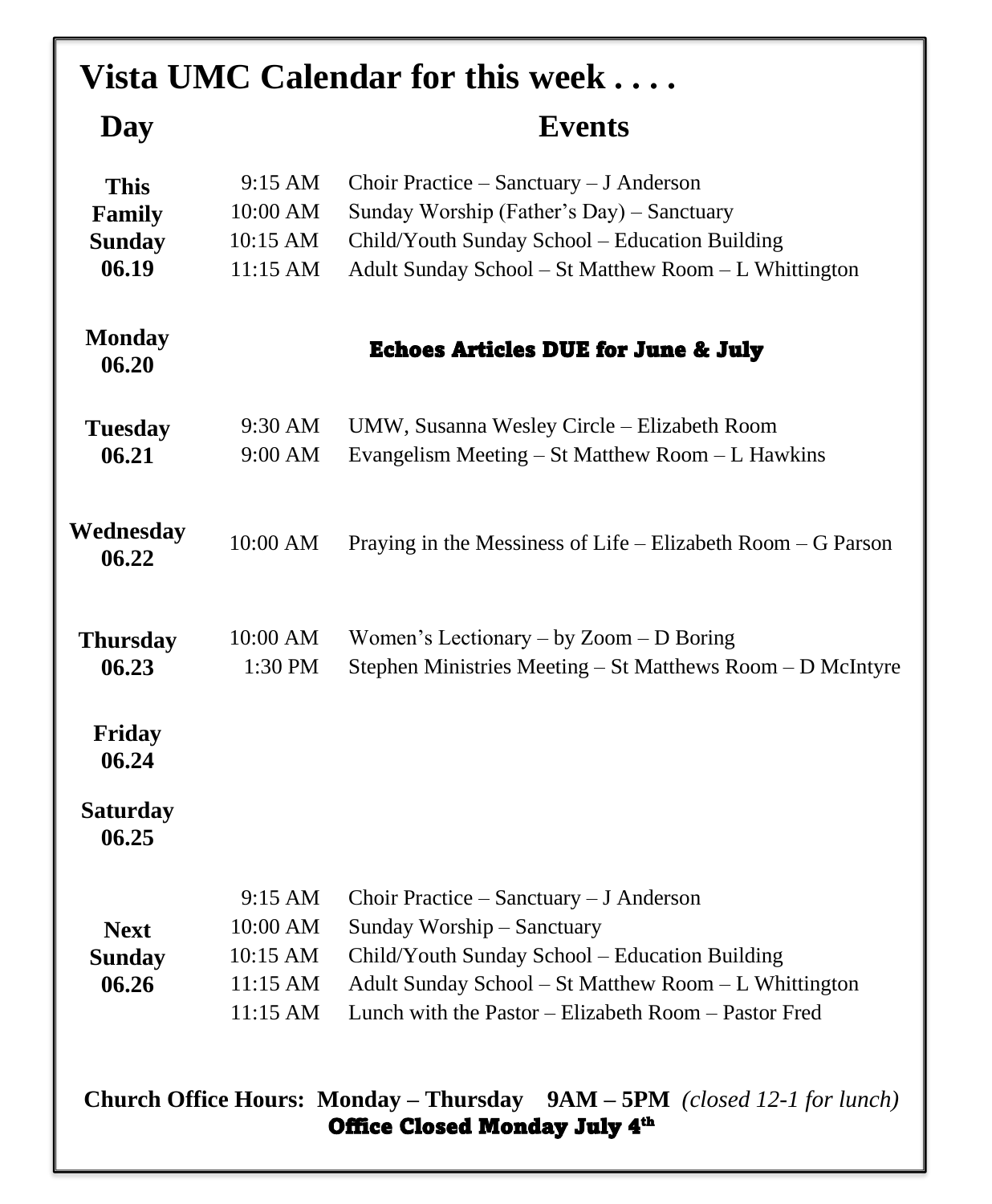| Vista UMC Calendar for this week                                                                                             |                                                                   |                                                                                                                                                                                                                                              |
|------------------------------------------------------------------------------------------------------------------------------|-------------------------------------------------------------------|----------------------------------------------------------------------------------------------------------------------------------------------------------------------------------------------------------------------------------------------|
| Day                                                                                                                          |                                                                   | <b>Events</b>                                                                                                                                                                                                                                |
| <b>This</b><br>Family<br><b>Sunday</b><br>06.19                                                                              | 9:15 AM<br>10:00 AM<br>10:15 AM<br>11:15 AM                       | Choir Practice – Sanctuary – J Anderson<br>Sunday Worship (Father's Day) – Sanctuary<br>Child/Youth Sunday School - Education Building<br>Adult Sunday School - St Matthew Room - L Whittington                                              |
| <b>Monday</b><br>06.20                                                                                                       |                                                                   | <b>Echoes Articles DUE for June &amp; July</b>                                                                                                                                                                                               |
| <b>Tuesday</b><br>06.21                                                                                                      | 9:30 AM<br>9:00 AM                                                | UMW, Susanna Wesley Circle – Elizabeth Room<br>Evangelism Meeting – St Matthew Room – L Hawkins                                                                                                                                              |
| Wednesday<br>06.22                                                                                                           | 10:00 AM                                                          | Praying in the Messiness of Life $-$ Elizabeth Room $-$ G Parson                                                                                                                                                                             |
| <b>Thursday</b><br>06.23                                                                                                     | 10:00 AM<br>1:30 PM                                               | Women's Lectionary – by Zoom – D Boring<br>Stephen Ministries Meeting – St Matthews Room – D McIntyre                                                                                                                                        |
| <b>Friday</b><br>06.24                                                                                                       |                                                                   |                                                                                                                                                                                                                                              |
| <b>Saturday</b><br>06.25                                                                                                     |                                                                   |                                                                                                                                                                                                                                              |
| <b>Next</b><br><b>Sunday</b><br>06.26                                                                                        | $9:15 \text{ AM}$<br>10:00 AM<br>10:15 AM<br>11:15 AM<br>11:15 AM | Choir Practice $-$ Sanctuary $-$ J Anderson<br>Sunday Worship - Sanctuary<br>Child/Youth Sunday School - Education Building<br>Adult Sunday School - St Matthew Room - L Whittington<br>Lunch with the Pastor – Elizabeth Room – Pastor Fred |
| <b>Church Office Hours: Monday – Thursday</b><br>$9AM - 5PM$ (closed 12-1 for lunch)<br><b>Office Closed Monday July 4th</b> |                                                                   |                                                                                                                                                                                                                                              |